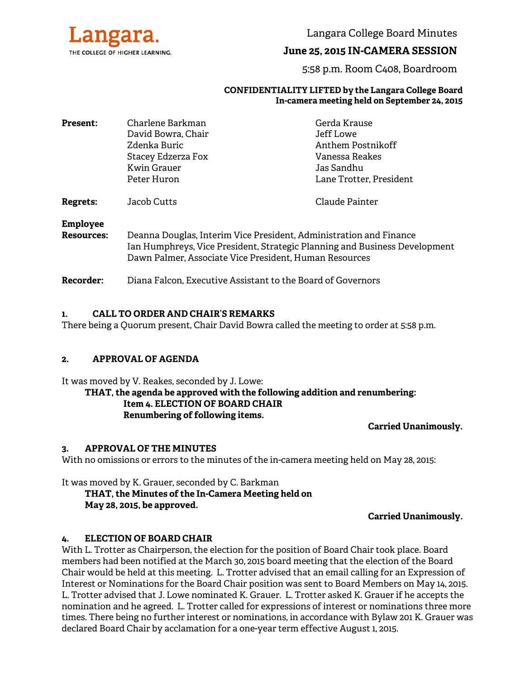

Langara College Board Minutes

# **June 25, 2015 IN-CAMERA SESSION**

5:58 p.m. Room C408, Boardroom

#### **CONFIDENTIALITY LIFTED by the Langara College Board In-camera meeting held on September 24, 2015**

| <b>Present:</b> | Charlene Barkman                                                        | Gerda Krause                                                                                                                                                                                               |                 |                         |                |
|-----------------|-------------------------------------------------------------------------|------------------------------------------------------------------------------------------------------------------------------------------------------------------------------------------------------------|-----------------|-------------------------|----------------|
|                 | David Bowra, Chair<br>Zdenka Buric<br>Stacey Edzerza Fox<br>Kwin Grauer | Jeff Lowe<br>Anthem Postnikoff<br>Vanessa Reakes<br>Jas Sandhu                                                                                                                                             |                 |                         |                |
|                 |                                                                         |                                                                                                                                                                                                            | Peter Huron     | Lane Trotter, President |                |
|                 |                                                                         |                                                                                                                                                                                                            | Regrets:        | Jacob Cutts             | Claude Painter |
|                 |                                                                         |                                                                                                                                                                                                            | <b>Employee</b> |                         |                |
|                 | <b>Resources:</b>                                                       | Deanna Douglas, Interim Vice President, Administration and Finance<br>Ian Humphreys, Vice President, Strategic Planning and Business Development<br>Dawn Palmer, Associate Vice President, Human Resources |                 |                         |                |
| Recorder:       | Diana Falcon, Executive Assistant to the Board of Governors             |                                                                                                                                                                                                            |                 |                         |                |
|                 |                                                                         |                                                                                                                                                                                                            |                 |                         |                |

#### **1. CALL TO ORDER AND CHAIR'S REMARKS**

There being a Quorum present, Chair David Bowra called the meeting to order at 5:58 p.m.

### **2. APPROVAL OF AGENDA**

It was moved by V. Reakes, seconded by J. Lowe:

## **THAT, the agenda be approved with the following addition and renumbering: Item 4. ELECTION OF BOARD CHAIR Renumbering of following items.**

**Carried Unanimously.**

### **3. APPROVAL OF THE MINUTES**

With no omissions or errors to the minutes of the in-camera meeting held on May 28, 2015:

It was moved by K. Grauer, seconded by C. Barkman  **THAT, the Minutes of the In-Camera Meeting held on May 28, 2015, be approved.** 

**Carried Unanimously.** 

### **4. ELECTION OF BOARD CHAIR**

With L. Trotter as Chairperson, the election for the position of Board Chair took place. Board members had been notified at the March 30, 2015 board meeting that the election of the Board Chair would be held at this meeting. L. Trotter advised that an email calling for an Expression of Interest or Nominations for the Board Chair position was sent to Board Members on May 14, 2015. L. Trotter advised that J. Lowe nominated K. Grauer. L. Trotter asked K. Grauer if he accepts the nomination and he agreed. L. Trotter called for expressions of interest or nominations three more times. There being no further interest or nominations, in accordance with Bylaw 201 K. Grauer was declared Board Chair by acclamation for a one-year term effective August 1, 2015.